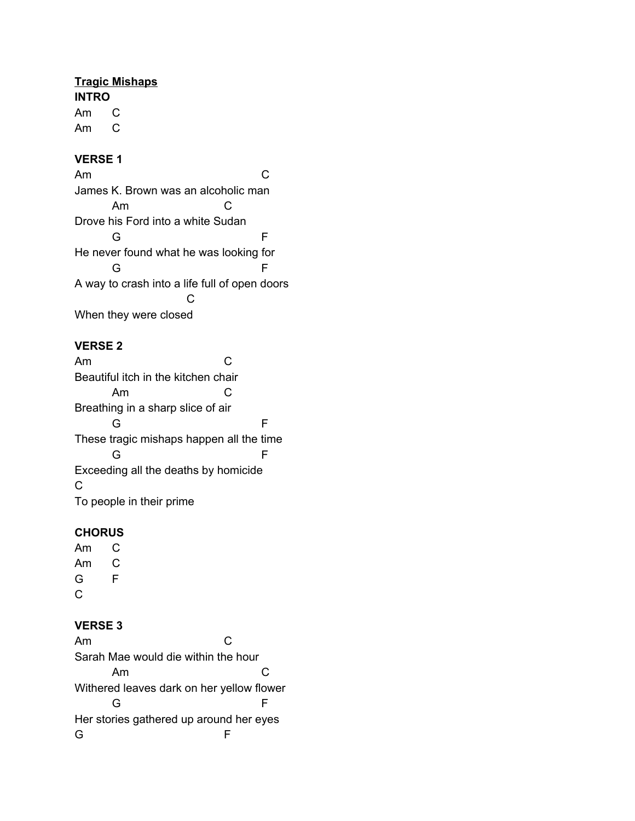## **Tragic Mishaps**

**INTRO** Am C Am C

#### **VERSE 1**

Am C James K. Brown was an alcoholic man Am C Drove his Ford into a white Sudan G F He never found what he was looking for G F A way to crash into a life full of open doors  $\mathcal{C}$ When they were closed

## **VERSE 2**

Am C Beautiful itch in the kitchen chair Am C Breathing in a sharp slice of air G F These tragic mishaps happen all the time G F Exceeding all the deaths by homicide C To people in their prime

## **CHORUS**

Am C Am C G F C

## **VERSE 3**

Am C Sarah Mae would die within the hour Am C Withered leaves dark on her yellow flower G F Her stories gathered up around her eyes G F